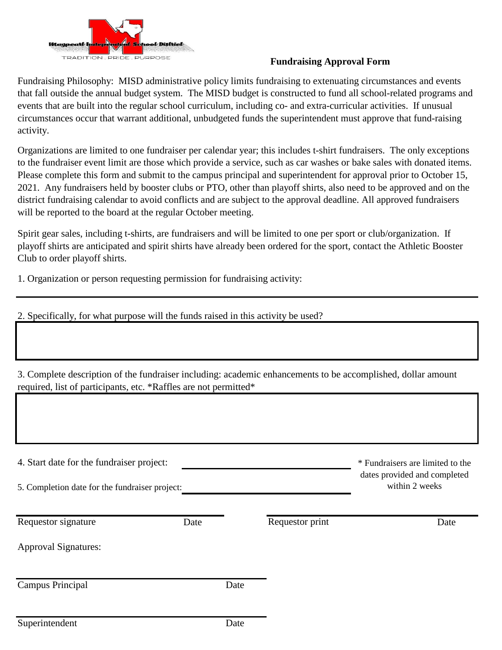

## **Fundraising Approval Form**

Fundraising Philosophy: MISD administrative policy limits fundraising to extenuating circumstances and events that fall outside the annual budget system. The MISD budget is constructed to fund all school-related programs and events that are built into the regular school curriculum, including co- and extra-curricular activities. If unusual circumstances occur that warrant additional, unbudgeted funds the superintendent must approve that fund-raising activity.

Organizations are limited to one fundraiser per calendar year; this includes t-shirt fundraisers. The only exceptions to the fundraiser event limit are those which provide a service, such as car washes or bake sales with donated items. Please complete this form and submit to the campus principal and superintendent for approval prior to October 15, 2021. Any fundraisers held by booster clubs or PTO, other than playoff shirts, also need to be approved and on the district fundraising calendar to avoid conflicts and are subject to the approval deadline. All approved fundraisers will be reported to the board at the regular October meeting.

Spirit gear sales, including t-shirts, are fundraisers and will be limited to one per sport or club/organization. If playoff shirts are anticipated and spirit shirts have already been ordered for the sport, contact the Athletic Booster Club to order playoff shirts.

1. Organization or person requesting permission for fundraising activity:

| 2. Specifically, for what purpose will the funds raised in this activity be used?                                                                                                |  |      |  |                                                                                    |
|----------------------------------------------------------------------------------------------------------------------------------------------------------------------------------|--|------|--|------------------------------------------------------------------------------------|
|                                                                                                                                                                                  |  |      |  |                                                                                    |
| 3. Complete description of the fundraiser including: academic enhancements to be accomplished, dollar amount<br>required, list of participants, etc. *Raffles are not permitted* |  |      |  |                                                                                    |
|                                                                                                                                                                                  |  |      |  |                                                                                    |
| 4. Start date for the fundraiser project:<br>5. Completion date for the fundraiser project:                                                                                      |  |      |  | * Fundraisers are limited to the<br>dates provided and completed<br>within 2 weeks |
|                                                                                                                                                                                  |  |      |  |                                                                                    |
| <b>Approval Signatures:</b>                                                                                                                                                      |  |      |  |                                                                                    |
| Campus Principal                                                                                                                                                                 |  | Date |  |                                                                                    |
| Superintendent                                                                                                                                                                   |  | Date |  |                                                                                    |